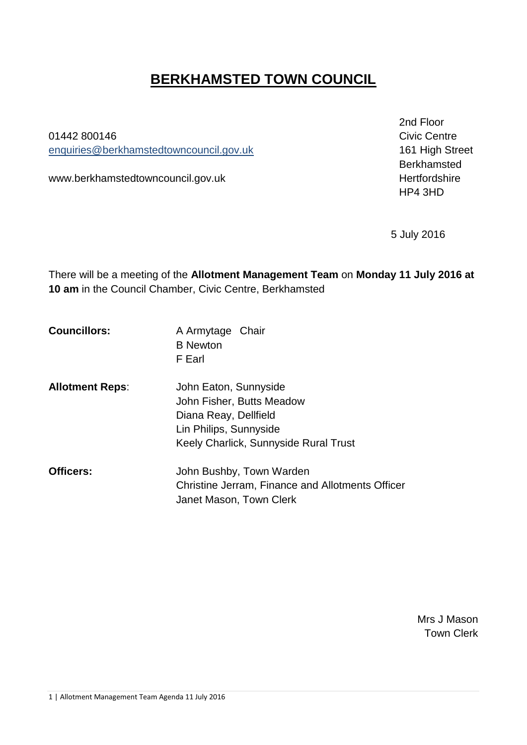# **BERKHAMSTED TOWN COUNCIL**

01442 800146 **Civic Centre** enquiries[@berkhamstedtowncouncil.gov.uk](mailto:berkhamsted.towncouncil@dacorum.gov.uk) 161 High Street

www.berkhamstedtowncouncil.gov.uk hertfordshire

2nd Floor Berkhamsted HP4 3HD

5 July 2016

There will be a meeting of the **Allotment Management Team** on **Monday 11 July 2016 at 10 am** in the Council Chamber, Civic Centre, Berkhamsted

| <b>Councillors:</b> | A Armytage Chair |
|---------------------|------------------|
|                     | <b>B</b> Newton  |
|                     | F Earl           |

| <b>Allotment Reps:</b> | John Eaton, Sunnyside                 |
|------------------------|---------------------------------------|
|                        | John Fisher, Butts Meadow             |
|                        | Diana Reay, Dellfield                 |
|                        | Lin Philips, Sunnyside                |
|                        | Keely Charlick, Sunnyside Rural Trust |

**Officers:** John Bushby, Town Warden Christine Jerram, Finance and Allotments Officer Janet Mason, Town Clerk

> Mrs J Mason Town Clerk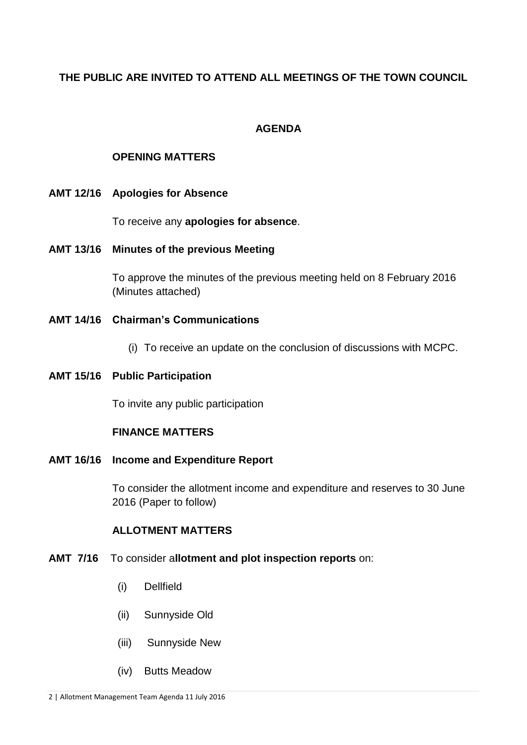# **THE PUBLIC ARE INVITED TO ATTEND ALL MEETINGS OF THE TOWN COUNCIL**

## **AGENDA**

## **OPENING MATTERS**

**AMT 12/16 Apologies for Absence** 

To receive any **apologies for absence**.

**AMT 13/16 Minutes of the previous Meeting** 

To approve the minutes of the previous meeting held on 8 February 2016 (Minutes attached)

- **AMT 14/16 Chairman's Communications**
	- (i) To receive an update on the conclusion of discussions with MCPC.
- **AMT 15/16 Public Participation**

To invite any public participation

## **FINANCE MATTERS**

**AMT 16/16 Income and Expenditure Report**

To consider the allotment income and expenditure and reserves to 30 June 2016 (Paper to follow)

## **ALLOTMENT MATTERS**

- **AMT 7/16** To consider a**llotment and plot inspection reports** on:
	- (i) Dellfield
	- (ii) Sunnyside Old
	- (iii) Sunnyside New
	- (iv) Butts Meadow